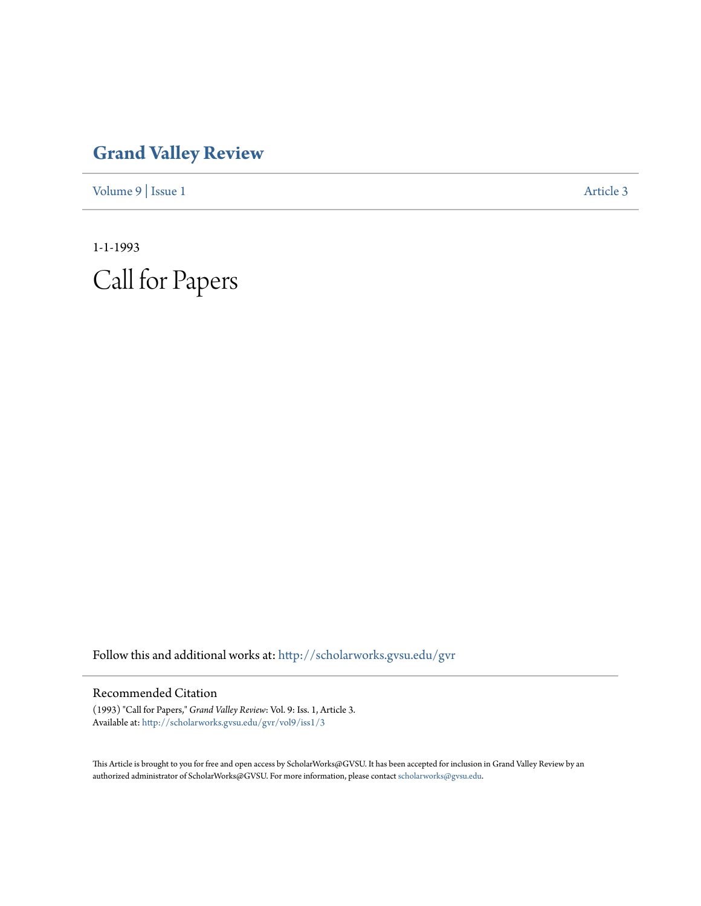# **[Grand Valley Review](http://scholarworks.gvsu.edu/gvr?utm_source=scholarworks.gvsu.edu%2Fgvr%2Fvol9%2Fiss1%2F3&utm_medium=PDF&utm_campaign=PDFCoverPages)**

[Volume 9](http://scholarworks.gvsu.edu/gvr/vol9?utm_source=scholarworks.gvsu.edu%2Fgvr%2Fvol9%2Fiss1%2F3&utm_medium=PDF&utm_campaign=PDFCoverPages) | [Issue 1](http://scholarworks.gvsu.edu/gvr/vol9/iss1?utm_source=scholarworks.gvsu.edu%2Fgvr%2Fvol9%2Fiss1%2F3&utm_medium=PDF&utm_campaign=PDFCoverPages) [Article 3](http://scholarworks.gvsu.edu/gvr/vol9/iss1/3?utm_source=scholarworks.gvsu.edu%2Fgvr%2Fvol9%2Fiss1%2F3&utm_medium=PDF&utm_campaign=PDFCoverPages)

1-1-1993 Call for Papers

Follow this and additional works at: [http://scholarworks.gvsu.edu/gvr](http://scholarworks.gvsu.edu/gvr?utm_source=scholarworks.gvsu.edu%2Fgvr%2Fvol9%2Fiss1%2F3&utm_medium=PDF&utm_campaign=PDFCoverPages)

#### Recommended Citation

(1993) "Call for Papers," *Grand Valley Review*: Vol. 9: Iss. 1, Article 3. Available at: [http://scholarworks.gvsu.edu/gvr/vol9/iss1/3](http://scholarworks.gvsu.edu/gvr/vol9/iss1/3?utm_source=scholarworks.gvsu.edu%2Fgvr%2Fvol9%2Fiss1%2F3&utm_medium=PDF&utm_campaign=PDFCoverPages)

This Article is brought to you for free and open access by ScholarWorks@GVSU. It has been accepted for inclusion in Grand Valley Review by an authorized administrator of ScholarWorks@GVSU. For more information, please contact [scholarworks@gvsu.edu.](mailto:scholarworks@gvsu.edu)